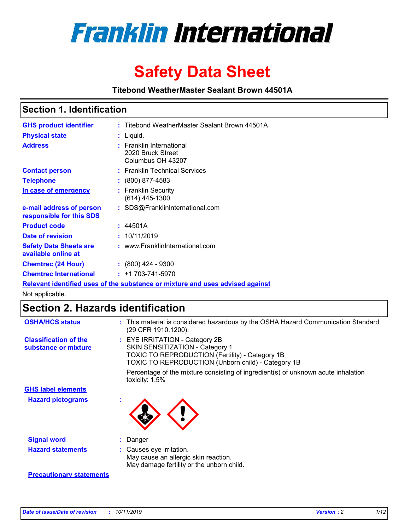

# **Safety Data Sheet**

**Titebond WeatherMaster Sealant Brown 44501A**

### **Section 1. Identification**

| <b>GHS product identifier</b>                                                 |  | : Titebond WeatherMaster Sealant Brown 44501A                      |  |  |  |
|-------------------------------------------------------------------------------|--|--------------------------------------------------------------------|--|--|--|
| <b>Physical state</b>                                                         |  | : Liquid.                                                          |  |  |  |
| <b>Address</b>                                                                |  | : Franklin International<br>2020 Bruck Street<br>Columbus OH 43207 |  |  |  |
| <b>Contact person</b>                                                         |  | : Franklin Technical Services                                      |  |  |  |
| <b>Telephone</b>                                                              |  | $\colon$ (800) 877-4583                                            |  |  |  |
| In case of emergency                                                          |  | : Franklin Security<br>$(614)$ 445-1300                            |  |  |  |
| e-mail address of person<br>responsible for this SDS                          |  | : SDS@FranklinInternational.com                                    |  |  |  |
| <b>Product code</b>                                                           |  | : 44501A                                                           |  |  |  |
| Date of revision                                                              |  | : 10/11/2019                                                       |  |  |  |
| <b>Safety Data Sheets are</b><br>available online at                          |  | : www.FranklinInternational.com                                    |  |  |  |
| <b>Chemtrec (24 Hour)</b>                                                     |  | $: (800)$ 424 - 9300                                               |  |  |  |
| <b>Chemtrec International</b>                                                 |  | $: +1703 - 741 - 5970$                                             |  |  |  |
| Relevant identified uses of the substance or mixture and uses advised against |  |                                                                    |  |  |  |

Not applicable.

## **Section 2. Hazards identification**

| <b>OSHA/HCS status</b>                               | : This material is considered hazardous by the OSHA Hazard Communication Standard<br>(29 CFR 1910.1200).                                                                          |
|------------------------------------------------------|-----------------------------------------------------------------------------------------------------------------------------------------------------------------------------------|
| <b>Classification of the</b><br>substance or mixture | : EYE IRRITATION - Category 2B<br>SKIN SENSITIZATION - Category 1<br><b>TOXIC TO REPRODUCTION (Fertility) - Category 1B</b><br>TOXIC TO REPRODUCTION (Unborn child) - Category 1B |
|                                                      | Percentage of the mixture consisting of ingredient(s) of unknown acute inhalation<br>toxicity: $1.5\%$                                                                            |
| <b>GHS label elements</b>                            |                                                                                                                                                                                   |
| <b>Hazard pictograms</b>                             |                                                                                                                                                                                   |
| <b>Signal word</b>                                   | : Danger                                                                                                                                                                          |
| <b>Hazard statements</b>                             | : Causes eye irritation.<br>May cause an allergic skin reaction.<br>May damage fertility or the unborn child.                                                                     |
| <b>Precautionary statements</b>                      |                                                                                                                                                                                   |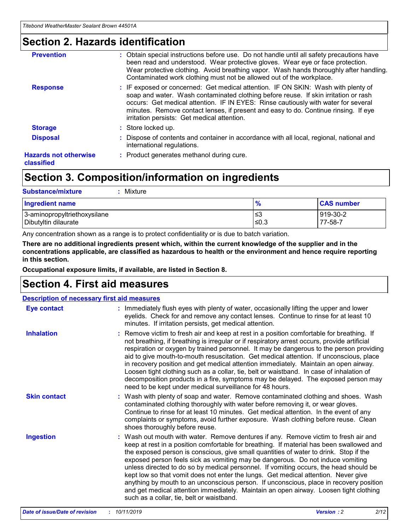### **Section 2. Hazards identification**

| <b>Prevention</b>                          | : Obtain special instructions before use. Do not handle until all safety precautions have<br>been read and understood. Wear protective gloves. Wear eye or face protection.<br>Wear protective clothing. Avoid breathing vapor. Wash hands thoroughly after handling.<br>Contaminated work clothing must not be allowed out of the workplace.                                                        |
|--------------------------------------------|------------------------------------------------------------------------------------------------------------------------------------------------------------------------------------------------------------------------------------------------------------------------------------------------------------------------------------------------------------------------------------------------------|
| <b>Response</b>                            | : IF exposed or concerned: Get medical attention. IF ON SKIN: Wash with plenty of<br>soap and water. Wash contaminated clothing before reuse. If skin irritation or rash<br>occurs: Get medical attention. IF IN EYES: Rinse cautiously with water for several<br>minutes. Remove contact lenses, if present and easy to do. Continue rinsing. If eye<br>irritation persists: Get medical attention. |
| <b>Storage</b>                             | : Store locked up.                                                                                                                                                                                                                                                                                                                                                                                   |
| <b>Disposal</b>                            | : Dispose of contents and container in accordance with all local, regional, national and<br>international regulations.                                                                                                                                                                                                                                                                               |
| <b>Hazards not otherwise</b><br>classified | : Product generates methanol during cure.                                                                                                                                                                                                                                                                                                                                                            |
|                                            |                                                                                                                                                                                                                                                                                                                                                                                                      |

### **Section 3. Composition/information on ingredients**

| <b>Substance/mixture</b><br>Mixture                  |                   |                     |
|------------------------------------------------------|-------------------|---------------------|
| <b>Ingredient name</b>                               | $\frac{9}{6}$     | <b>CAS number</b>   |
| 3-aminopropyltriethoxysilane<br>Dibutyltin dilaurate | l≤3<br>$\leq 0.3$ | 919-30-2<br>77-58-7 |

Any concentration shown as a range is to protect confidentiality or is due to batch variation.

**There are no additional ingredients present which, within the current knowledge of the supplier and in the concentrations applicable, are classified as hazardous to health or the environment and hence require reporting in this section.**

**Occupational exposure limits, if available, are listed in Section 8.**

### **Section 4. First aid measures**

| <b>Description of necessary first aid measures</b> |                                                                                                                                                                                                                                                                                                                                                                                                                                                                                                                                                                                                                                                                                                                                                                           |  |  |  |
|----------------------------------------------------|---------------------------------------------------------------------------------------------------------------------------------------------------------------------------------------------------------------------------------------------------------------------------------------------------------------------------------------------------------------------------------------------------------------------------------------------------------------------------------------------------------------------------------------------------------------------------------------------------------------------------------------------------------------------------------------------------------------------------------------------------------------------------|--|--|--|
| <b>Eye contact</b>                                 | : Immediately flush eyes with plenty of water, occasionally lifting the upper and lower<br>eyelids. Check for and remove any contact lenses. Continue to rinse for at least 10<br>minutes. If irritation persists, get medical attention.                                                                                                                                                                                                                                                                                                                                                                                                                                                                                                                                 |  |  |  |
| <b>Inhalation</b>                                  | : Remove victim to fresh air and keep at rest in a position comfortable for breathing. If<br>not breathing, if breathing is irregular or if respiratory arrest occurs, provide artificial<br>respiration or oxygen by trained personnel. It may be dangerous to the person providing<br>aid to give mouth-to-mouth resuscitation. Get medical attention. If unconscious, place<br>in recovery position and get medical attention immediately. Maintain an open airway.<br>Loosen tight clothing such as a collar, tie, belt or waistband. In case of inhalation of<br>decomposition products in a fire, symptoms may be delayed. The exposed person may<br>need to be kept under medical surveillance for 48 hours.                                                       |  |  |  |
| <b>Skin contact</b>                                | : Wash with plenty of soap and water. Remove contaminated clothing and shoes. Wash<br>contaminated clothing thoroughly with water before removing it, or wear gloves.<br>Continue to rinse for at least 10 minutes. Get medical attention. In the event of any<br>complaints or symptoms, avoid further exposure. Wash clothing before reuse. Clean<br>shoes thoroughly before reuse.                                                                                                                                                                                                                                                                                                                                                                                     |  |  |  |
| <b>Ingestion</b>                                   | : Wash out mouth with water. Remove dentures if any. Remove victim to fresh air and<br>keep at rest in a position comfortable for breathing. If material has been swallowed and<br>the exposed person is conscious, give small quantities of water to drink. Stop if the<br>exposed person feels sick as vomiting may be dangerous. Do not induce vomiting<br>unless directed to do so by medical personnel. If vomiting occurs, the head should be<br>kept low so that vomit does not enter the lungs. Get medical attention. Never give<br>anything by mouth to an unconscious person. If unconscious, place in recovery position<br>and get medical attention immediately. Maintain an open airway. Loosen tight clothing<br>such as a collar, tie, belt or waistband. |  |  |  |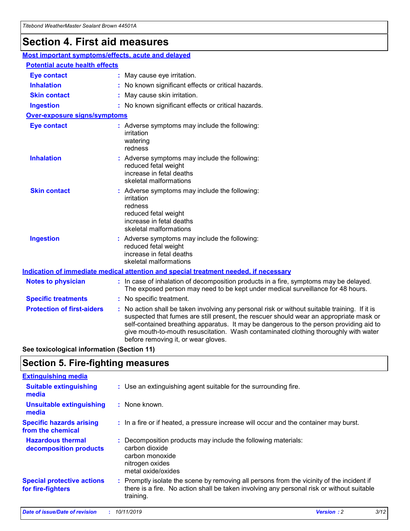## **Section 4. First aid measures**

| Most important symptoms/effects, acute and delayed |                                                                                                                                                                                                                                                                                                                                                                                                                 |
|----------------------------------------------------|-----------------------------------------------------------------------------------------------------------------------------------------------------------------------------------------------------------------------------------------------------------------------------------------------------------------------------------------------------------------------------------------------------------------|
| <b>Potential acute health effects</b>              |                                                                                                                                                                                                                                                                                                                                                                                                                 |
| <b>Eye contact</b>                                 | : May cause eye irritation.                                                                                                                                                                                                                                                                                                                                                                                     |
| <b>Inhalation</b>                                  | : No known significant effects or critical hazards.                                                                                                                                                                                                                                                                                                                                                             |
| <b>Skin contact</b>                                | : May cause skin irritation.                                                                                                                                                                                                                                                                                                                                                                                    |
| <b>Ingestion</b>                                   | : No known significant effects or critical hazards.                                                                                                                                                                                                                                                                                                                                                             |
| <b>Over-exposure signs/symptoms</b>                |                                                                                                                                                                                                                                                                                                                                                                                                                 |
| <b>Eye contact</b>                                 | : Adverse symptoms may include the following:<br>irritation<br>watering<br>redness                                                                                                                                                                                                                                                                                                                              |
| <b>Inhalation</b>                                  | : Adverse symptoms may include the following:<br>reduced fetal weight<br>increase in fetal deaths<br>skeletal malformations                                                                                                                                                                                                                                                                                     |
| <b>Skin contact</b>                                | : Adverse symptoms may include the following:<br>irritation<br>redness<br>reduced fetal weight<br>increase in fetal deaths<br>skeletal malformations                                                                                                                                                                                                                                                            |
| <b>Ingestion</b>                                   | : Adverse symptoms may include the following:<br>reduced fetal weight<br>increase in fetal deaths<br>skeletal malformations                                                                                                                                                                                                                                                                                     |
|                                                    | <b>Indication of immediate medical attention and special treatment needed, if necessary</b>                                                                                                                                                                                                                                                                                                                     |
| <b>Notes to physician</b>                          | : In case of inhalation of decomposition products in a fire, symptoms may be delayed.<br>The exposed person may need to be kept under medical surveillance for 48 hours.                                                                                                                                                                                                                                        |
| <b>Specific treatments</b>                         | : No specific treatment.                                                                                                                                                                                                                                                                                                                                                                                        |
| <b>Protection of first-aiders</b>                  | : No action shall be taken involving any personal risk or without suitable training. If it is<br>suspected that fumes are still present, the rescuer should wear an appropriate mask or<br>self-contained breathing apparatus. It may be dangerous to the person providing aid to<br>give mouth-to-mouth resuscitation. Wash contaminated clothing thoroughly with water<br>before removing it, or wear gloves. |

**See toxicological information (Section 11)**

### **Section 5. Fire-fighting measures**

| <b>Extinguishing media</b>                             |                                                                                                                                                                                                     |
|--------------------------------------------------------|-----------------------------------------------------------------------------------------------------------------------------------------------------------------------------------------------------|
| <b>Suitable extinguishing</b><br>media                 | : Use an extinguishing agent suitable for the surrounding fire.                                                                                                                                     |
| <b>Unsuitable extinguishing</b><br>media               | : None known.                                                                                                                                                                                       |
| <b>Specific hazards arising</b><br>from the chemical   | : In a fire or if heated, a pressure increase will occur and the container may burst.                                                                                                               |
| <b>Hazardous thermal</b><br>decomposition products     | : Decomposition products may include the following materials:<br>carbon dioxide<br>carbon monoxide<br>nitrogen oxides<br>metal oxide/oxides                                                         |
| <b>Special protective actions</b><br>for fire-fighters | : Promptly isolate the scene by removing all persons from the vicinity of the incident if<br>there is a fire. No action shall be taken involving any personal risk or without suitable<br>training. |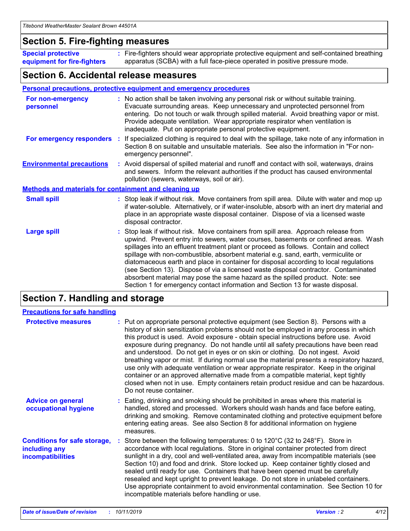### **Section 5. Fire-fighting measures**

**Special protective equipment for fire-fighters** Fire-fighters should wear appropriate protective equipment and self-contained breathing **:** apparatus (SCBA) with a full face-piece operated in positive pressure mode.

### **Section 6. Accidental release measures**

#### **Personal precautions, protective equipment and emergency procedures**

| For non-emergency<br>personnel                               |  | : No action shall be taken involving any personal risk or without suitable training.<br>Evacuate surrounding areas. Keep unnecessary and unprotected personnel from<br>entering. Do not touch or walk through spilled material. Avoid breathing vapor or mist.<br>Provide adequate ventilation. Wear appropriate respirator when ventilation is<br>inadequate. Put on appropriate personal protective equipment.                                                                                                                                                                                                                                                                                             |  |  |
|--------------------------------------------------------------|--|--------------------------------------------------------------------------------------------------------------------------------------------------------------------------------------------------------------------------------------------------------------------------------------------------------------------------------------------------------------------------------------------------------------------------------------------------------------------------------------------------------------------------------------------------------------------------------------------------------------------------------------------------------------------------------------------------------------|--|--|
|                                                              |  | For emergency responders : If specialized clothing is required to deal with the spillage, take note of any information in<br>Section 8 on suitable and unsuitable materials. See also the information in "For non-<br>emergency personnel".                                                                                                                                                                                                                                                                                                                                                                                                                                                                  |  |  |
| <b>Environmental precautions</b>                             |  | : Avoid dispersal of spilled material and runoff and contact with soil, waterways, drains<br>and sewers. Inform the relevant authorities if the product has caused environmental<br>pollution (sewers, waterways, soil or air).                                                                                                                                                                                                                                                                                                                                                                                                                                                                              |  |  |
| <b>Methods and materials for containment and cleaning up</b> |  |                                                                                                                                                                                                                                                                                                                                                                                                                                                                                                                                                                                                                                                                                                              |  |  |
| <b>Small spill</b>                                           |  | : Stop leak if without risk. Move containers from spill area. Dilute with water and mop up<br>if water-soluble. Alternatively, or if water-insoluble, absorb with an inert dry material and<br>place in an appropriate waste disposal container. Dispose of via a licensed waste<br>disposal contractor.                                                                                                                                                                                                                                                                                                                                                                                                     |  |  |
| <b>Large spill</b>                                           |  | : Stop leak if without risk. Move containers from spill area. Approach release from<br>upwind. Prevent entry into sewers, water courses, basements or confined areas. Wash<br>spillages into an effluent treatment plant or proceed as follows. Contain and collect<br>spillage with non-combustible, absorbent material e.g. sand, earth, vermiculite or<br>diatomaceous earth and place in container for disposal according to local regulations<br>(see Section 13). Dispose of via a licensed waste disposal contractor. Contaminated<br>absorbent material may pose the same hazard as the spilled product. Note: see<br>Section 1 for emergency contact information and Section 13 for waste disposal. |  |  |

### **Section 7. Handling and storage**

| <b>Precautions for safe handling</b>                                             |                                                                                                                                                                                                                                                                                                                                                                                                                                                                                                                                                                                                                                                                                                                                                                                                                                                  |
|----------------------------------------------------------------------------------|--------------------------------------------------------------------------------------------------------------------------------------------------------------------------------------------------------------------------------------------------------------------------------------------------------------------------------------------------------------------------------------------------------------------------------------------------------------------------------------------------------------------------------------------------------------------------------------------------------------------------------------------------------------------------------------------------------------------------------------------------------------------------------------------------------------------------------------------------|
| <b>Protective measures</b>                                                       | : Put on appropriate personal protective equipment (see Section 8). Persons with a<br>history of skin sensitization problems should not be employed in any process in which<br>this product is used. Avoid exposure - obtain special instructions before use. Avoid<br>exposure during pregnancy. Do not handle until all safety precautions have been read<br>and understood. Do not get in eyes or on skin or clothing. Do not ingest. Avoid<br>breathing vapor or mist. If during normal use the material presents a respiratory hazard,<br>use only with adequate ventilation or wear appropriate respirator. Keep in the original<br>container or an approved alternative made from a compatible material, kept tightly<br>closed when not in use. Empty containers retain product residue and can be hazardous.<br>Do not reuse container. |
| <b>Advice on general</b><br>occupational hygiene                                 | : Eating, drinking and smoking should be prohibited in areas where this material is<br>handled, stored and processed. Workers should wash hands and face before eating,<br>drinking and smoking. Remove contaminated clothing and protective equipment before<br>entering eating areas. See also Section 8 for additional information on hygiene<br>measures.                                                                                                                                                                                                                                                                                                                                                                                                                                                                                    |
| <b>Conditions for safe storage,</b><br>including any<br><b>incompatibilities</b> | Store between the following temperatures: 0 to 120°C (32 to 248°F). Store in<br>accordance with local regulations. Store in original container protected from direct<br>sunlight in a dry, cool and well-ventilated area, away from incompatible materials (see<br>Section 10) and food and drink. Store locked up. Keep container tightly closed and<br>sealed until ready for use. Containers that have been opened must be carefully<br>resealed and kept upright to prevent leakage. Do not store in unlabeled containers.<br>Use appropriate containment to avoid environmental contamination. See Section 10 for<br>incompatible materials before handling or use.                                                                                                                                                                         |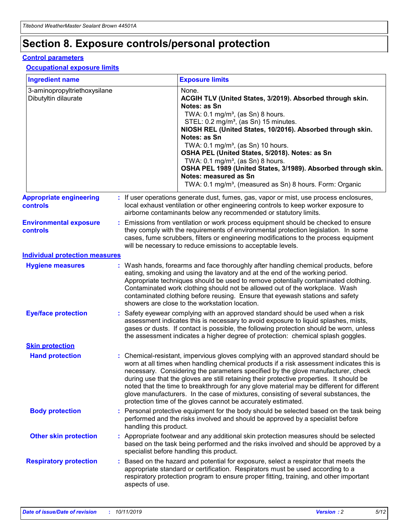## **Section 8. Exposure controls/personal protection**

#### **Control parameters**

#### **Occupational exposure limits**

| <b>Ingredient name</b>                               |    |                                          | <b>Exposure limits</b>                                                                                                                                                                                                                                                                                                                                                                                                                                                                                                                                                                                                 |
|------------------------------------------------------|----|------------------------------------------|------------------------------------------------------------------------------------------------------------------------------------------------------------------------------------------------------------------------------------------------------------------------------------------------------------------------------------------------------------------------------------------------------------------------------------------------------------------------------------------------------------------------------------------------------------------------------------------------------------------------|
| 3-aminopropyltriethoxysilane<br>Dibutyltin dilaurate |    |                                          | None.<br>ACGIH TLV (United States, 3/2019). Absorbed through skin.<br>Notes: as Sn<br>TWA: 0.1 mg/m <sup>3</sup> , (as Sn) 8 hours.<br>STEL: 0.2 mg/m <sup>3</sup> , (as Sn) 15 minutes.<br>NIOSH REL (United States, 10/2016). Absorbed through skin.<br>Notes: as Sn<br>TWA: 0.1 mg/m <sup>3</sup> , (as Sn) 10 hours.<br>OSHA PEL (United States, 5/2018). Notes: as Sn<br>TWA: $0.1 \text{ mg/m}^3$ , (as Sn) 8 hours.<br>OSHA PEL 1989 (United States, 3/1989). Absorbed through skin.<br>Notes: measured as Sn<br>TWA: 0.1 mg/m <sup>3</sup> , (measured as Sn) 8 hours. Form: Organic                           |
| <b>Appropriate engineering</b><br>controls           |    |                                          | : If user operations generate dust, fumes, gas, vapor or mist, use process enclosures,<br>local exhaust ventilation or other engineering controls to keep worker exposure to<br>airborne contaminants below any recommended or statutory limits.                                                                                                                                                                                                                                                                                                                                                                       |
| <b>Environmental exposure</b><br><b>controls</b>     |    |                                          | Emissions from ventilation or work process equipment should be checked to ensure<br>they comply with the requirements of environmental protection legislation. In some<br>cases, fume scrubbers, filters or engineering modifications to the process equipment<br>will be necessary to reduce emissions to acceptable levels.                                                                                                                                                                                                                                                                                          |
| <b>Individual protection measures</b>                |    |                                          |                                                                                                                                                                                                                                                                                                                                                                                                                                                                                                                                                                                                                        |
| <b>Hygiene measures</b>                              |    |                                          | : Wash hands, forearms and face thoroughly after handling chemical products, before<br>eating, smoking and using the lavatory and at the end of the working period.<br>Appropriate techniques should be used to remove potentially contaminated clothing.<br>Contaminated work clothing should not be allowed out of the workplace. Wash<br>contaminated clothing before reusing. Ensure that eyewash stations and safety<br>showers are close to the workstation location.                                                                                                                                            |
| <b>Eye/face protection</b>                           |    |                                          | : Safety eyewear complying with an approved standard should be used when a risk<br>assessment indicates this is necessary to avoid exposure to liquid splashes, mists,<br>gases or dusts. If contact is possible, the following protection should be worn, unless<br>the assessment indicates a higher degree of protection: chemical splash goggles.                                                                                                                                                                                                                                                                  |
| <b>Skin protection</b>                               |    |                                          |                                                                                                                                                                                                                                                                                                                                                                                                                                                                                                                                                                                                                        |
| <b>Hand protection</b>                               |    |                                          | : Chemical-resistant, impervious gloves complying with an approved standard should be<br>worn at all times when handling chemical products if a risk assessment indicates this is<br>necessary. Considering the parameters specified by the glove manufacturer, check<br>during use that the gloves are still retaining their protective properties. It should be<br>noted that the time to breakthrough for any glove material may be different for different<br>glove manufacturers. In the case of mixtures, consisting of several substances, the<br>protection time of the gloves cannot be accurately estimated. |
| <b>Body protection</b>                               |    | handling this product.                   | Personal protective equipment for the body should be selected based on the task being<br>performed and the risks involved and should be approved by a specialist before                                                                                                                                                                                                                                                                                                                                                                                                                                                |
| <b>Other skin protection</b>                         |    | specialist before handling this product. | : Appropriate footwear and any additional skin protection measures should be selected<br>based on the task being performed and the risks involved and should be approved by a                                                                                                                                                                                                                                                                                                                                                                                                                                          |
| <b>Respiratory protection</b>                        | ÷. | aspects of use.                          | Based on the hazard and potential for exposure, select a respirator that meets the<br>appropriate standard or certification. Respirators must be used according to a<br>respiratory protection program to ensure proper fitting, training, and other important                                                                                                                                                                                                                                                                                                                                                         |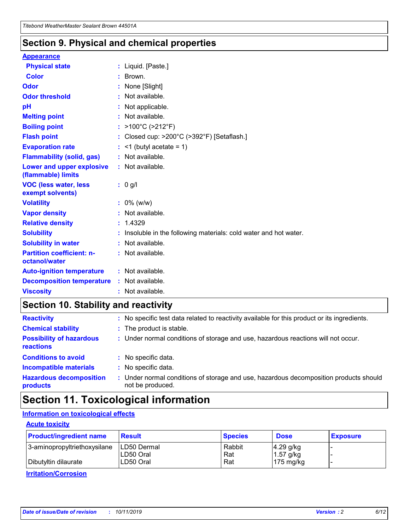### **Section 9. Physical and chemical properties**

#### **Appearance**

| <b>Physical state</b>                             | : Liquid. [Paste.]                                              |
|---------------------------------------------------|-----------------------------------------------------------------|
| Color                                             | $\therefore$ Brown.                                             |
| Odor                                              | : None [Slight]                                                 |
| <b>Odor threshold</b>                             | $:$ Not available.                                              |
| рH                                                | : Not applicable.                                               |
| <b>Melting point</b>                              | : Not available.                                                |
| <b>Boiling point</b>                              | : >100°C (>212°F)                                               |
| <b>Flash point</b>                                | : Closed cup: $>200^{\circ}$ C ( $>392^{\circ}$ F) [Setaflash.] |
| <b>Evaporation rate</b>                           | $:$ <1 (butyl acetate = 1)                                      |
| <b>Flammability (solid, gas)</b>                  | : Not available.                                                |
| Lower and upper explosive<br>(flammable) limits   | : Not available.                                                |
| <b>VOC (less water, less</b><br>exempt solvents)  | $: 0$ g/l                                                       |
|                                                   |                                                                 |
| <b>Volatility</b>                                 | $: 0\%$ (w/w)                                                   |
| <b>Vapor density</b>                              | : Not available.                                                |
| <b>Relative density</b>                           | : 1.4329                                                        |
| <b>Solubility</b>                                 | Insoluble in the following materials: cold water and hot water. |
| <b>Solubility in water</b>                        | : Not available.                                                |
| <b>Partition coefficient: n-</b><br>octanol/water | $:$ Not available.                                              |
| <b>Auto-ignition temperature</b>                  | : Not available.                                                |
| <b>Decomposition temperature</b>                  | : Not available.                                                |

### **Section 10. Stability and reactivity**

| <b>Reactivity</b>                            | : No specific test data related to reactivity available for this product or its ingredients.            |
|----------------------------------------------|---------------------------------------------------------------------------------------------------------|
| <b>Chemical stability</b>                    | : The product is stable.                                                                                |
| <b>Possibility of hazardous</b><br>reactions | : Under normal conditions of storage and use, hazardous reactions will not occur.                       |
| <b>Conditions to avoid</b>                   | : No specific data.                                                                                     |
| <b>Incompatible materials</b>                | : No specific data.                                                                                     |
| <b>Hazardous decomposition</b><br>products   | Under normal conditions of storage and use, hazardous decomposition products should<br>not be produced. |

## **Section 11. Toxicological information**

### **Information on toxicological effects**

#### **Acute toxicity**

| <b>Product/ingredient name</b> | <b>Result</b>           | <b>Species</b> | <b>Dose</b>                | <b>Exposure</b> |
|--------------------------------|-------------------------|----------------|----------------------------|-----------------|
| 3-aminopropyltriethoxysilane   | <b>ILD50 Dermal</b>     | Rabbit         | 4.29 g/kg                  |                 |
| Dibutyltin dilaurate           | ILD50 Oral<br>LD50 Oral | Rat<br>Rat     | $1.57$ g/kg<br>175 $mg/kg$ |                 |
|                                |                         |                |                            |                 |

**Irritation/Corrosion**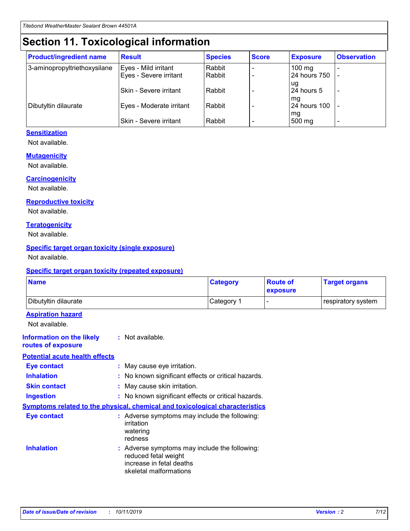## **Section 11. Toxicological information**

| <b>Product/ingredient name</b> | <b>Result</b>            | <b>Species</b> | <b>Score</b> | <b>Exposure</b>           | <b>Observation</b> |
|--------------------------------|--------------------------|----------------|--------------|---------------------------|--------------------|
| 3-aminopropyltriethoxysilane   | Eyes - Mild irritant     | Rabbit         |              | $100$ mg                  |                    |
|                                | Eyes - Severe irritant   | Rabbit         |              | 24 hours 750              |                    |
|                                |                          |                |              | ug                        |                    |
|                                | Skin - Severe irritant   | Rabbit         |              | 24 hours 5                | -                  |
| Dibutyltin dilaurate           | Eyes - Moderate irritant | Rabbit         |              | mq<br><b>24 hours 100</b> |                    |
|                                |                          |                |              | mg                        |                    |
|                                | Skin - Severe irritant   | Rabbit         |              | 500 mg                    |                    |

#### **Sensitization**

Not available.

#### **Mutagenicity**

Not available.

#### **Carcinogenicity**

Not available.

#### **Reproductive toxicity**

Not available.

#### **Teratogenicity**

Not available.

#### **Specific target organ toxicity (single exposure)**

Not available.

#### **Specific target organ toxicity (repeated exposure)**

| <b>Name</b>                                                                  |                                                                                                                             | <b>Category</b> | <b>Route of</b><br>exposure  | <b>Target organs</b> |
|------------------------------------------------------------------------------|-----------------------------------------------------------------------------------------------------------------------------|-----------------|------------------------------|----------------------|
| Dibutyltin dilaurate                                                         |                                                                                                                             | Category 1      | $\qquad \qquad \blacksquare$ | respiratory system   |
| <b>Aspiration hazard</b><br>Not available.                                   |                                                                                                                             |                 |                              |                      |
| <b>Information on the likely</b><br>routes of exposure                       | : Not available.                                                                                                            |                 |                              |                      |
| <b>Potential acute health effects</b>                                        |                                                                                                                             |                 |                              |                      |
| <b>Eye contact</b>                                                           | : May cause eye irritation.                                                                                                 |                 |                              |                      |
| <b>Inhalation</b>                                                            | : No known significant effects or critical hazards.                                                                         |                 |                              |                      |
| <b>Skin contact</b>                                                          | : May cause skin irritation.                                                                                                |                 |                              |                      |
| <b>Ingestion</b>                                                             | : No known significant effects or critical hazards.                                                                         |                 |                              |                      |
| Symptoms related to the physical, chemical and toxicological characteristics |                                                                                                                             |                 |                              |                      |
| <b>Eye contact</b>                                                           | : Adverse symptoms may include the following:<br>irritation<br>watering<br>redness                                          |                 |                              |                      |
| <b>Inhalation</b>                                                            | : Adverse symptoms may include the following:<br>reduced fetal weight<br>increase in fetal deaths<br>skeletal malformations |                 |                              |                      |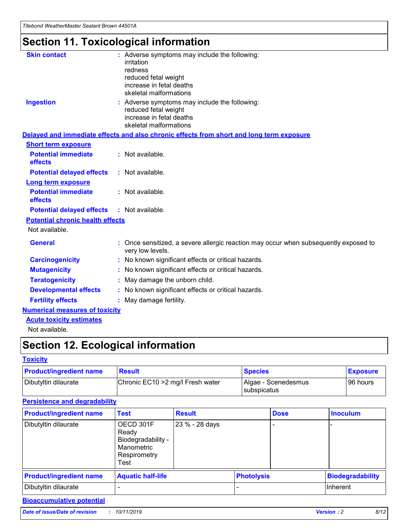## **Section 11. Toxicological information**

| <b>Skin contact</b>                     | : Adverse symptoms may include the following:<br>irritation<br>redness<br>reduced fetal weight<br>increase in fetal deaths<br>skeletal malformations |
|-----------------------------------------|------------------------------------------------------------------------------------------------------------------------------------------------------|
| <b>Ingestion</b>                        | : Adverse symptoms may include the following:<br>reduced fetal weight<br>increase in fetal deaths<br>skeletal malformations                          |
|                                         | Delayed and immediate effects and also chronic effects from short and long term exposure                                                             |
| <b>Short term exposure</b>              |                                                                                                                                                      |
| <b>Potential immediate</b><br>effects   | : Not available.                                                                                                                                     |
| <b>Potential delayed effects</b>        | : Not available.                                                                                                                                     |
| <b>Long term exposure</b>               |                                                                                                                                                      |
| <b>Potential immediate</b><br>effects   | : Not available.                                                                                                                                     |
| <b>Potential delayed effects</b>        | : Not available.                                                                                                                                     |
| <b>Potential chronic health effects</b> |                                                                                                                                                      |
| Not available.                          |                                                                                                                                                      |
| <b>General</b>                          | : Once sensitized, a severe allergic reaction may occur when subsequently exposed to<br>very low levels.                                             |
| <b>Carcinogenicity</b>                  | : No known significant effects or critical hazards.                                                                                                  |
| <b>Mutagenicity</b>                     | No known significant effects or critical hazards.                                                                                                    |
| <b>Teratogenicity</b>                   | May damage the unborn child.                                                                                                                         |
| <b>Developmental effects</b>            | No known significant effects or critical hazards.                                                                                                    |
| <b>Fertility effects</b>                | : May damage fertility.                                                                                                                              |
| <b>Numerical measures of toxicity</b>   |                                                                                                                                                      |
| <b>Acute toxicity estimates</b>         |                                                                                                                                                      |
|                                         |                                                                                                                                                      |

Not available.

## **Section 12. Ecological information**

#### **Toxicity**

| <b>Product/ingredient name</b> | <b>Result</b>                     | <b>Species</b>                       | <b>Exposure</b> |
|--------------------------------|-----------------------------------|--------------------------------------|-----------------|
| Dibutyltin dilaurate           | Chronic EC10 > 2 mg/l Fresh water | Algae - Scenedesmus<br>I subspicatus | l 96 hours i    |

### **Persistence and degradability**

| <b>Product/ingredient name</b> | <b>Test</b>                                                                    | <b>Result</b>  |                   | <b>Dose</b> | <b>Inoculum</b>         |
|--------------------------------|--------------------------------------------------------------------------------|----------------|-------------------|-------------|-------------------------|
| Dibutyltin dilaurate           | OECD 301F<br>Ready<br>Biodegradability -<br>Manometric<br>Respirometry<br>Test | 23 % - 28 days |                   |             |                         |
| <b>Product/ingredient name</b> | <b>Aquatic half-life</b>                                                       |                | <b>Photolysis</b> |             | <b>Biodegradability</b> |
| Dibutyltin dilaurate           |                                                                                |                |                   |             | Inherent                |

### **Bioaccumulative potential**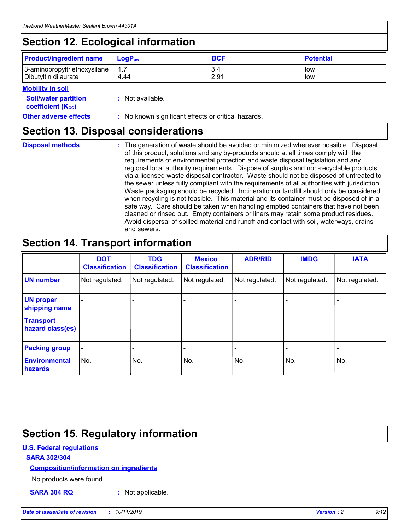## **Section 12. Ecological information**

| <b>Product/ingredient name</b> | $LoaPow$ | <b>BCF</b> | <b>Potential</b> |
|--------------------------------|----------|------------|------------------|
| 3-aminopropyltriethoxysilane   | 1.7      | 3.4        | low              |
| Dibutyltin dilaurate           | 4.44     | 2.91       | low              |

#### **Mobility in soil**

| <i></i>                                                       |                                                     |
|---------------------------------------------------------------|-----------------------------------------------------|
| <b>Soil/water partition</b><br>coefficient (K <sub>oc</sub> ) | : Not available.                                    |
| <b>Other adverse effects</b>                                  | : No known significant effects or critical hazards. |

### **Section 13. Disposal considerations**

**Disposal methods :**

The generation of waste should be avoided or minimized wherever possible. Disposal of this product, solutions and any by-products should at all times comply with the requirements of environmental protection and waste disposal legislation and any regional local authority requirements. Dispose of surplus and non-recyclable products via a licensed waste disposal contractor. Waste should not be disposed of untreated to the sewer unless fully compliant with the requirements of all authorities with jurisdiction. Waste packaging should be recycled. Incineration or landfill should only be considered when recycling is not feasible. This material and its container must be disposed of in a safe way. Care should be taken when handling emptied containers that have not been cleaned or rinsed out. Empty containers or liners may retain some product residues. Avoid dispersal of spilled material and runoff and contact with soil, waterways, drains and sewers.

## **Section 14. Transport information**

|                                      | <b>DOT</b><br><b>Classification</b> | <b>TDG</b><br><b>Classification</b> | <b>Mexico</b><br><b>Classification</b> | <b>ADR/RID</b>           | <b>IMDG</b>     | <b>IATA</b>              |
|--------------------------------------|-------------------------------------|-------------------------------------|----------------------------------------|--------------------------|-----------------|--------------------------|
| <b>UN number</b>                     | Not regulated.                      | Not regulated.                      | Not regulated.                         | Not regulated.           | Not regulated.  | Not regulated.           |
| <b>UN proper</b><br>shipping name    | $\qquad \qquad \blacksquare$        |                                     |                                        |                          |                 |                          |
| <b>Transport</b><br>hazard class(es) | $\overline{\phantom{0}}$            | $\qquad \qquad$                     | $\qquad \qquad$                        | $\overline{\phantom{a}}$ | $\qquad \qquad$ | $\overline{\phantom{0}}$ |
| <b>Packing group</b>                 | $\overline{\phantom{a}}$            | -                                   |                                        |                          |                 |                          |
| <b>Environmental</b><br>hazards      | No.                                 | No.                                 | No.                                    | No.                      | No.             | No.                      |

## **Section 15. Regulatory information**

#### **U.S. Federal regulations**

#### **SARA 302/304**

#### **Composition/information on ingredients**

No products were found.

**SARA 304 RQ :** Not applicable.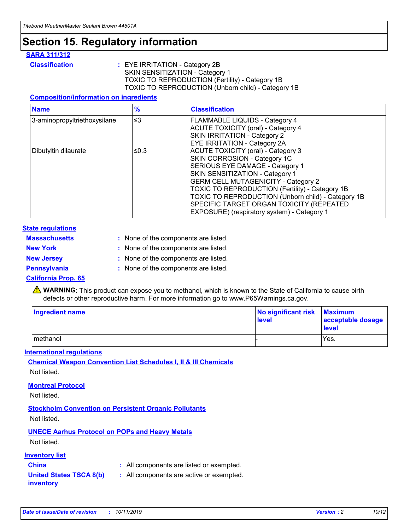## **Section 15. Regulatory information**

#### **SARA 311/312**

**Classification :** EYE IRRITATION - Category 2B SKIN SENSITIZATION - Category 1 TOXIC TO REPRODUCTION (Fertility) - Category 1B TOXIC TO REPRODUCTION (Unborn child) - Category 1B

#### **Composition/information on ingredients**

| <b>Name</b>                  | $\frac{9}{6}$ | <b>Classification</b>                                                                                                                                                                                                                                                                                                                  |
|------------------------------|---------------|----------------------------------------------------------------------------------------------------------------------------------------------------------------------------------------------------------------------------------------------------------------------------------------------------------------------------------------|
| 3-aminopropyltriethoxysilane | $\leq$ 3      | <b>FLAMMABLE LIQUIDS - Category 4</b><br><b>ACUTE TOXICITY (oral) - Category 4</b><br>SKIN IRRITATION - Category 2                                                                                                                                                                                                                     |
| Dibutyltin dilaurate         | ≤0.3          | EYE IRRITATION - Category 2A<br><b>ACUTE TOXICITY (oral) - Category 3</b><br>SKIN CORROSION - Category 1C<br>SERIOUS EYE DAMAGE - Category 1<br>SKIN SENSITIZATION - Category 1<br><b>GERM CELL MUTAGENICITY - Category 2</b><br>TOXIC TO REPRODUCTION (Fertility) - Category 1B<br>TOXIC TO REPRODUCTION (Unborn child) - Category 1B |
|                              |               | SPECIFIC TARGET ORGAN TOXICITY (REPEATED<br>EXPOSURE) (respiratory system) - Category 1                                                                                                                                                                                                                                                |

#### **State regulations**

| <b>Massachusetts</b> | : None of the components are listed. |
|----------------------|--------------------------------------|
| <b>New York</b>      | : None of the components are listed. |
| <b>New Jersey</b>    | : None of the components are listed. |
| <b>Pennsylvania</b>  | : None of the components are listed. |

#### **California Prop. 65**

**A** WARNING: This product can expose you to methanol, which is known to the State of California to cause birth defects or other reproductive harm. For more information go to www.P65Warnings.ca.gov.

| <b>Ingredient name</b> | No significant risk Maximum<br>level | acceptable dosage<br>level |
|------------------------|--------------------------------------|----------------------------|
| methanol               |                                      | Yes.                       |

#### **International regulations**

**Chemical Weapon Convention List Schedules I, II & III Chemicals** Not listed.

#### **Montreal Protocol**

Not listed.

**Stockholm Convention on Persistent Organic Pollutants**

Not listed.

### **UNECE Aarhus Protocol on POPs and Heavy Metals**

Not listed.

#### **Inventory list**

### **China :** All components are listed or exempted.

**United States TSCA 8(b) inventory :** All components are active or exempted.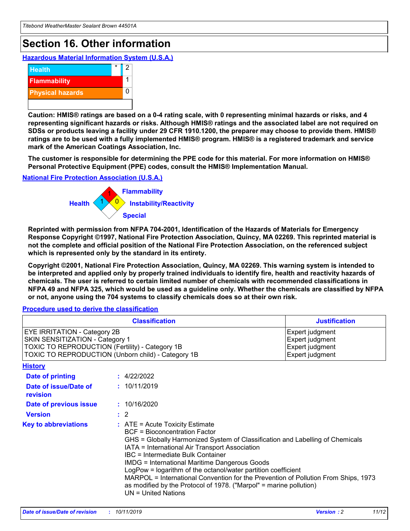## **Section 16. Other information**

**Hazardous Material Information System (U.S.A.)**



**Caution: HMIS® ratings are based on a 0-4 rating scale, with 0 representing minimal hazards or risks, and 4 representing significant hazards or risks. Although HMIS® ratings and the associated label are not required on SDSs or products leaving a facility under 29 CFR 1910.1200, the preparer may choose to provide them. HMIS® ratings are to be used with a fully implemented HMIS® program. HMIS® is a registered trademark and service mark of the American Coatings Association, Inc.**

**The customer is responsible for determining the PPE code for this material. For more information on HMIS® Personal Protective Equipment (PPE) codes, consult the HMIS® Implementation Manual.**

#### **National Fire Protection Association (U.S.A.)**



**Reprinted with permission from NFPA 704-2001, Identification of the Hazards of Materials for Emergency Response Copyright ©1997, National Fire Protection Association, Quincy, MA 02269. This reprinted material is not the complete and official position of the National Fire Protection Association, on the referenced subject which is represented only by the standard in its entirety.**

**Copyright ©2001, National Fire Protection Association, Quincy, MA 02269. This warning system is intended to be interpreted and applied only by properly trained individuals to identify fire, health and reactivity hazards of chemicals. The user is referred to certain limited number of chemicals with recommended classifications in NFPA 49 and NFPA 325, which would be used as a guideline only. Whether the chemicals are classified by NFPA or not, anyone using the 704 systems to classify chemicals does so at their own risk.**

#### **Procedure used to derive the classification**

| <b>Classification</b>                                                                                                                                                                  |                                                                                                                                                                                                                                                                   | <b>Justification</b>                                                                                                                                                                                                                                                                                       |  |
|----------------------------------------------------------------------------------------------------------------------------------------------------------------------------------------|-------------------------------------------------------------------------------------------------------------------------------------------------------------------------------------------------------------------------------------------------------------------|------------------------------------------------------------------------------------------------------------------------------------------------------------------------------------------------------------------------------------------------------------------------------------------------------------|--|
| <b>EYE IRRITATION - Category 2B</b><br>SKIN SENSITIZATION - Category 1<br><b>TOXIC TO REPRODUCTION (Fertility) - Category 1B</b><br>TOXIC TO REPRODUCTION (Unborn child) - Category 1B |                                                                                                                                                                                                                                                                   | Expert judgment<br>Expert judgment<br>Expert judgment<br>Expert judgment                                                                                                                                                                                                                                   |  |
| <b>History</b>                                                                                                                                                                         |                                                                                                                                                                                                                                                                   |                                                                                                                                                                                                                                                                                                            |  |
| Date of printing                                                                                                                                                                       | : 4/22/2022                                                                                                                                                                                                                                                       |                                                                                                                                                                                                                                                                                                            |  |
| Date of issue/Date of<br>revision                                                                                                                                                      | : 10/11/2019                                                                                                                                                                                                                                                      |                                                                                                                                                                                                                                                                                                            |  |
| Date of previous issue                                                                                                                                                                 | : 10/16/2020                                                                                                                                                                                                                                                      |                                                                                                                                                                                                                                                                                                            |  |
| <b>Version</b>                                                                                                                                                                         | $\therefore$ 2                                                                                                                                                                                                                                                    |                                                                                                                                                                                                                                                                                                            |  |
| <b>Key to abbreviations</b>                                                                                                                                                            | $\therefore$ ATE = Acute Toxicity Estimate<br><b>BCF</b> = Bioconcentration Factor<br>IATA = International Air Transport Association<br><b>IBC</b> = Intermediate Bulk Container<br><b>IMDG = International Maritime Dangerous Goods</b><br>$UN = United Nations$ | GHS = Globally Harmonized System of Classification and Labelling of Chemicals<br>LogPow = logarithm of the octanol/water partition coefficient<br>MARPOL = International Convention for the Prevention of Pollution From Ships, 1973<br>as modified by the Protocol of 1978. ("Marpol" = marine pollution) |  |